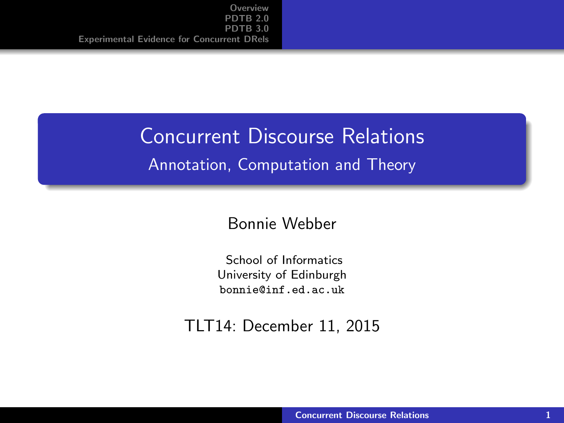#### <span id="page-0-0"></span>Concurrent Discourse Relations

#### Annotation, Computation and Theory

#### Bonnie Webber

School of Informatics University of Edinburgh <bonnie@inf.ed.ac.uk>

#### TLT14: December 11, 2015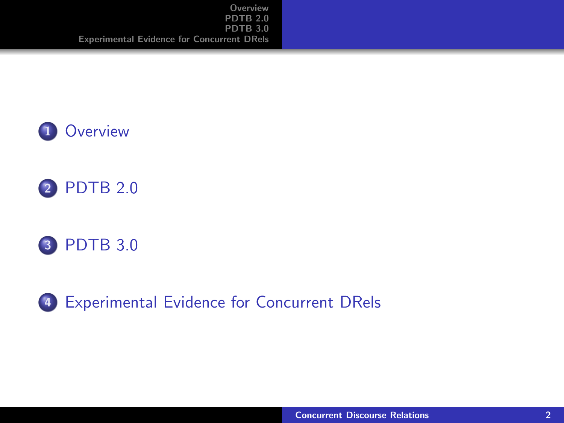





4 [Experimental Evidence for Concurrent DRels](#page-26-0)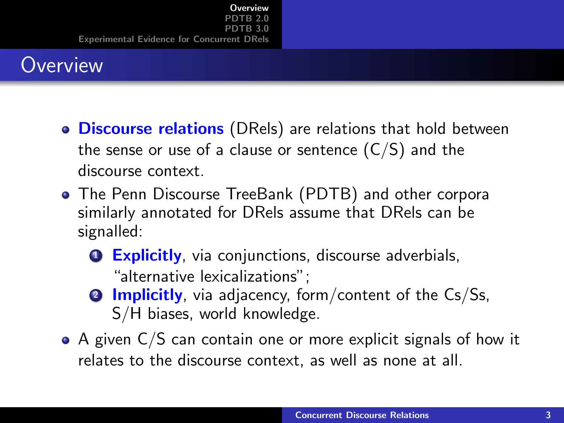# <span id="page-2-0"></span>**Overview**

- **o Discourse relations** (DRels) are relations that hold between the sense or use of a clause or sentence  $(C/S)$  and the discourse context.
- The Penn Discourse TreeBank (PDTB) and other corpora similarly annotated for DRels assume that DRels can be signalled:
	- **Q** Explicitly, via conjunctions, discourse adverbials, "alternative lexicalizations";
	- **2 Implicitly**, via adjacency, form/content of the  $Cs/Ss$ , S/H biases, world knowledge.
- $\bullet$  A given C/S can contain one or more explicit signals of how it relates to the discourse context, as well as none at all.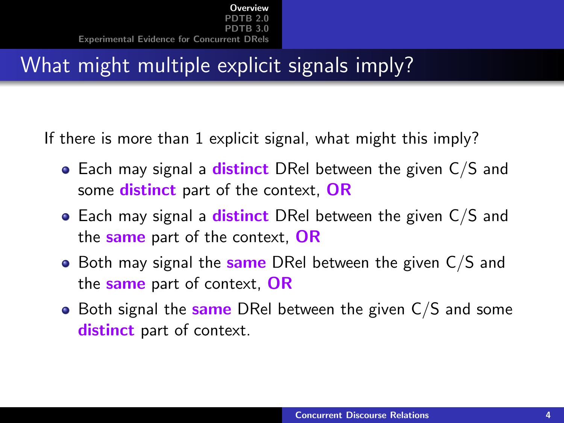# What might multiple explicit signals imply?

If there is more than 1 explicit signal, what might this imply?

- $\bullet$  Each may signal a distinct DRel between the given C/S and some **distinct** part of the context, OR
- $\bullet$  Each may signal a distinct DRel between the given C/S and the same part of the context. OR
- $\bullet$  Both may signal the same DRel between the given C/S and the same part of context, OR
- $\bullet$  Both signal the same DRel between the given C/S and some distinct part of context.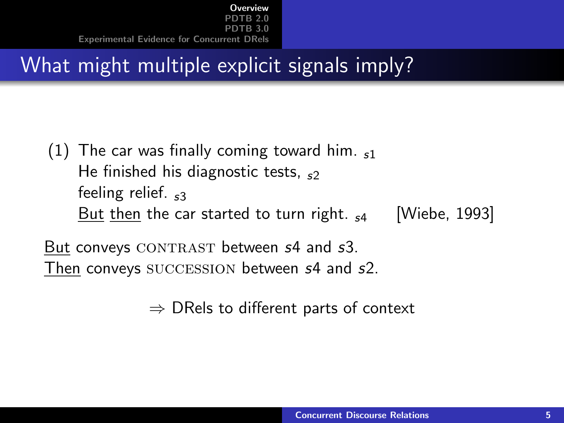# What might multiple explicit signals imply?

(1) The car was finally coming toward him.  $\epsilon_1$ He finished his diagnostic tests,  $s<sub>2</sub>$ feeling relief.  $53$ But then the car started to turn right.  $_{54}$  [Wiebe, 1993]

But conveys CONTRAST between  $s4$  and  $s3$ . Then conveys SUCCESSION between s4 and s2.

 $\Rightarrow$  DRels to different parts of context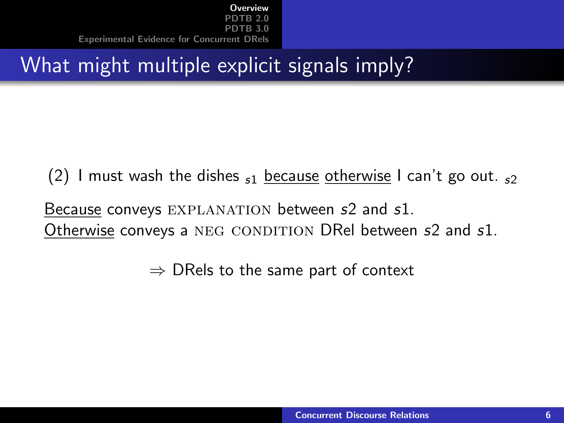# What might multiple explicit signals imply?

(2) I must wash the dishes  $s_1$  because otherwise I can't go out.  $s_2$ Because conveys EXPLANATION between s2 and s1. Otherwise conveys a NEG CONDITION DRel between s2 and s1.

 $\Rightarrow$  DRels to the same part of context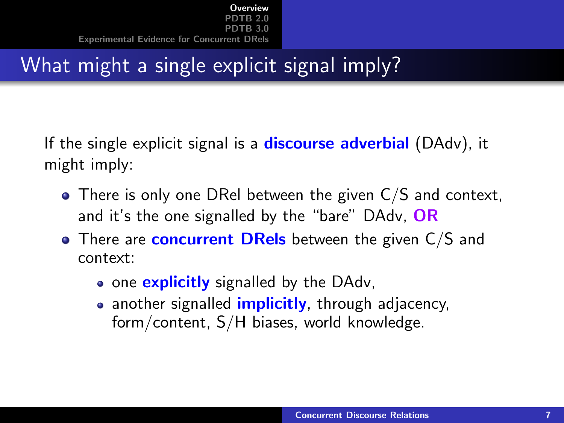# What might a single explicit signal imply?

If the single explicit signal is a **discourse adverbial** (DAdv), it might imply:

- There is only one DRel between the given C/S and context, and it's the one signalled by the "bare" DAdv, OR
- $\bullet$  There are concurrent DRels between the given C/S and context:
	- one explicitly signalled by the DAdv,
	- another signalled *implicitly*, through adjacency, form/content, S/H biases, world knowledge.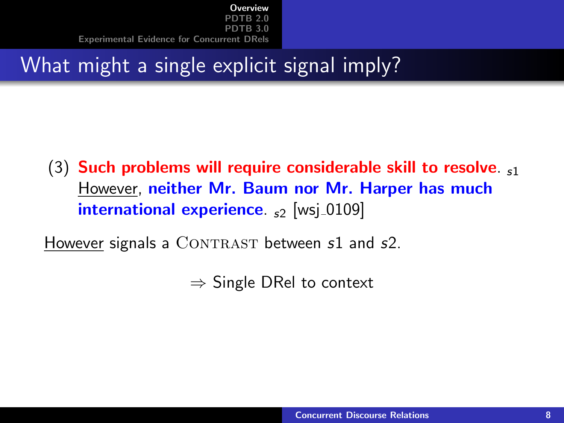# What might a single explicit signal imply?

(3) Such problems will require considerable skill to resolve. However, neither Mr. Baum nor Mr. Harper has much international experience.  $s_2$  [wsj\_0109]

However signals a  $CONTRAST$  between  $s1$  and  $s2$ .

 $\Rightarrow$  Single DRel to context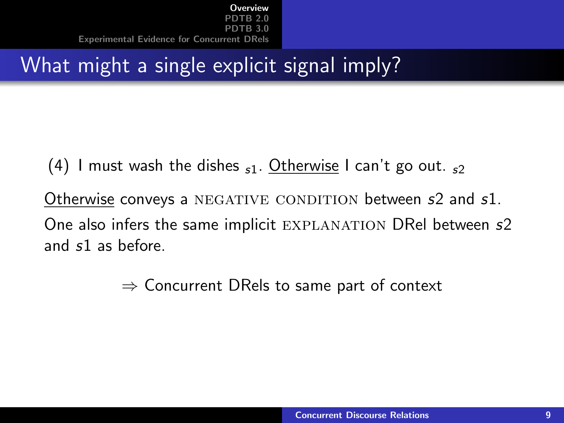# What might a single explicit signal imply?

(4) I must wash the dishes  $_{s1}$ . Otherwise I can't go out.  $_{s2}$ Otherwise conveys a NEGATIVE CONDITION between s2 and s1. One also infers the same implicit EXPLANATION DRel between s2 and s1 as before.

 $\Rightarrow$  Concurrent DRels to same part of context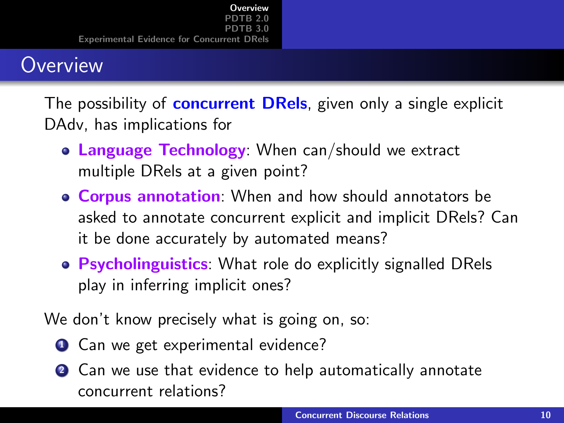### **Overview**

The possibility of **concurrent DRels**, given only a single explicit DAdv, has implications for

- Language Technology: When can/should we extract multiple DRels at a given point?
- **Corpus annotation**: When and how should annotators be asked to annotate concurrent explicit and implicit DRels? Can it be done accurately by automated means?
- Psycholinguistics: What role do explicitly signalled DRels play in inferring implicit ones?

We don't know precisely what is going on, so:

- **1** Can we get experimental evidence?
- 2 Can we use that evidence to help automatically annotate concurrent relations?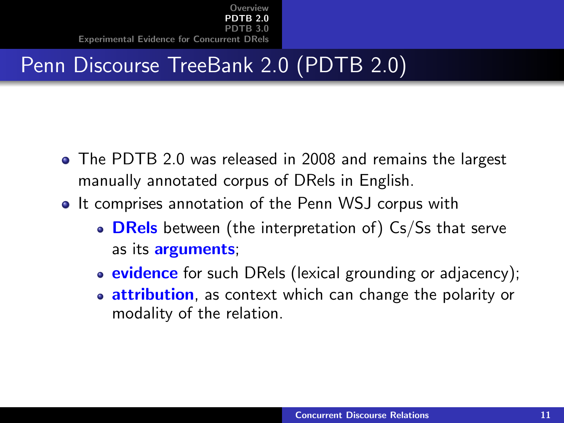# <span id="page-10-0"></span>Penn Discourse TreeBank 2.0 (PDTB 2.0)

- The PDTB 2.0 was released in 2008 and remains the largest manually annotated corpus of DRels in English.
- It comprises annotation of the Penn WSJ corpus with
	- $\bullet$  DRels between (the interpretation of) Cs/Ss that serve as its **arguments**;
	- evidence for such DRels (lexical grounding or adjacency);
	- **attribution**, as context which can change the polarity or modality of the relation.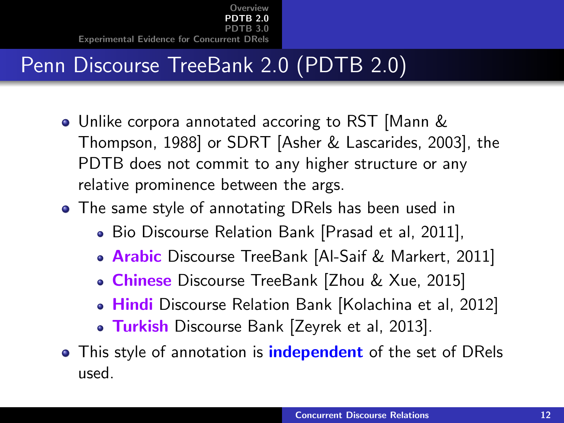# Penn Discourse TreeBank 2.0 (PDTB 2.0)

- Unlike corpora annotated accoring to RST [Mann & Thompson, 1988] or SDRT [Asher & Lascarides, 2003], the PDTB does not commit to any higher structure or any relative prominence between the args.
- The same style of annotating DRels has been used in
	- Bio Discourse Relation Bank [Prasad et al, 2011],
	- **Arabic** Discourse TreeBank [Al-Saif & Markert, 2011]
	- Chinese Discourse TreeBank [Zhou & Xue, 2015]
	- Hindi Discourse Relation Bank [Kolachina et al, 2012]
	- Turkish Discourse Bank [Zeyrek et al, 2013].
- This style of annotation is **independent** of the set of DRels used.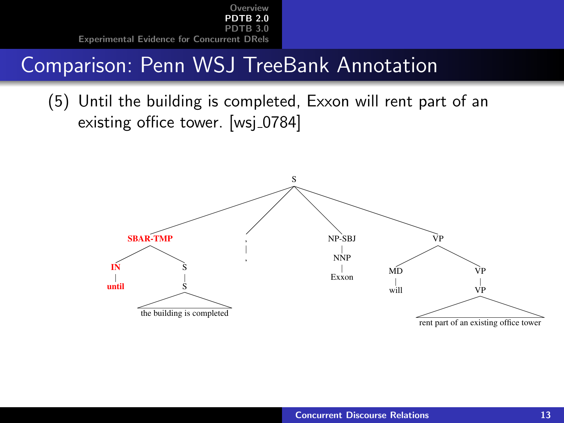### Comparison: Penn WSJ TreeBank Annotation

(5) Until the building is completed, Exxon will rent part of an existing office tower. [wsj\_0784]

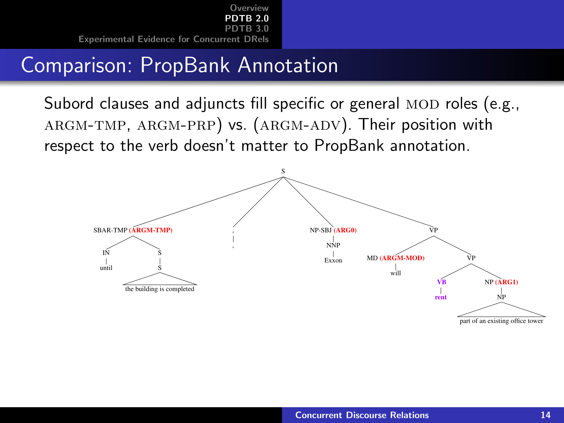### Comparison: PropBank Annotation

Subord clauses and adjuncts fill specific or general MOD roles (e.g., argm-tmp, argm-prp) vs. (argm-adv). Their position with respect to the verb doesn't matter to PropBank annotation.

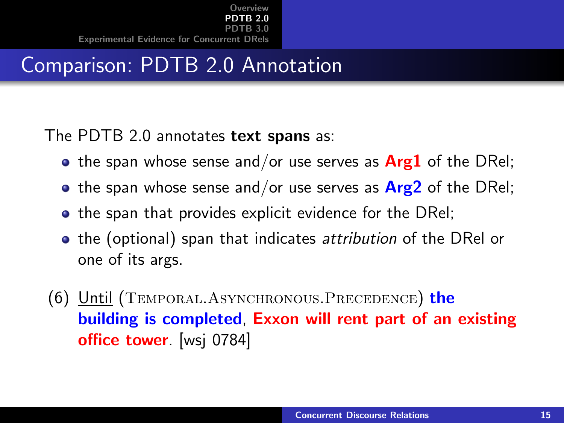# Comparison: PDTB 2.0 Annotation

The PDTB 2.0 annotates text spans as:

- the span whose sense and/or use serves as  $Arg1$  of the DRel;
- the span whose sense and/or use serves as  $Arg2$  of the DRel;
- the span that provides explicit evidence for the DRel;
- the (optional) span that indicates attribution of the DRel or one of its args.
- (6) Until (TEMPORAL.ASYNCHRONOUS.PRECEDENCE) the building is completed, Exxon will rent part of an existing office tower. [wsj\_0784]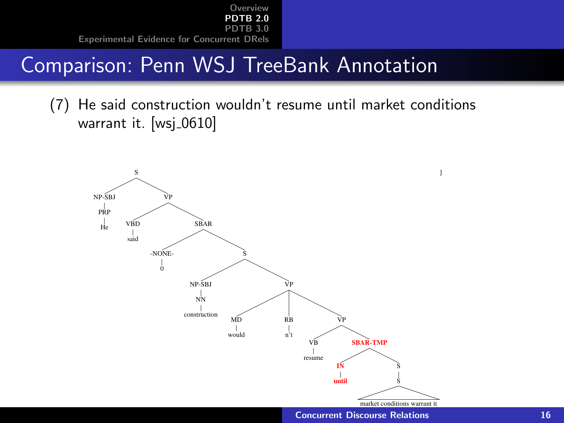### Comparison: Penn WSJ TreeBank Annotation

(7) He said construction wouldn't resume until market conditions warrant it. [wsj\_0610]



**[Concurrent Discourse Relations](#page-0-0)** 16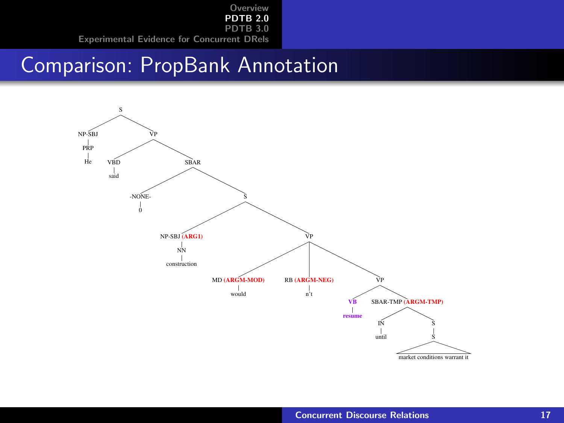#### Comparison: PropBank Annotation

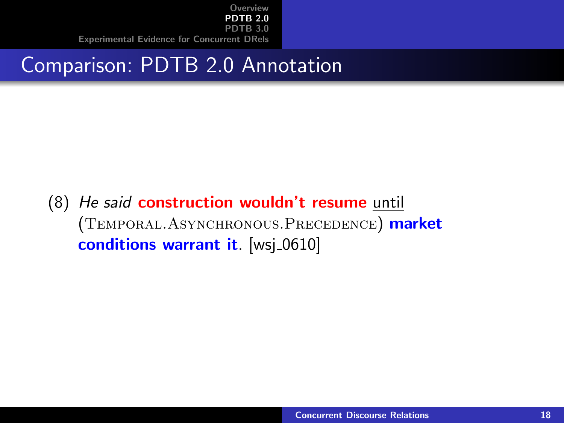### Comparison: PDTB 2.0 Annotation

(8) He said construction wouldn't resume until (Temporal.Asynchronous.Precedence) market conditions warrant it. [wsj\_0610]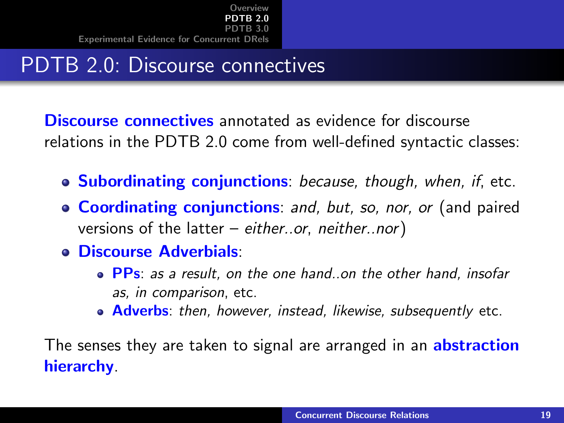# PDTB 2.0: Discourse connectives

Discourse connectives annotated as evidence for discourse relations in the PDTB 2.0 come from well-defined syntactic classes:

- Subordinating conjunctions: because, though, when, if, etc.
- **Coordinating conjunctions:** and, but, so, nor, or (and paired versions of the latter – either..or, neither..nor)
- Discourse Adverbials:
	- PPs: as a result, on the one hand, on the other hand, insofar as, in comparison, etc.
	- **Adverbs**: then, however, instead, likewise, subsequently etc.

The senses they are taken to signal are arranged in an **abstraction** hierarchy.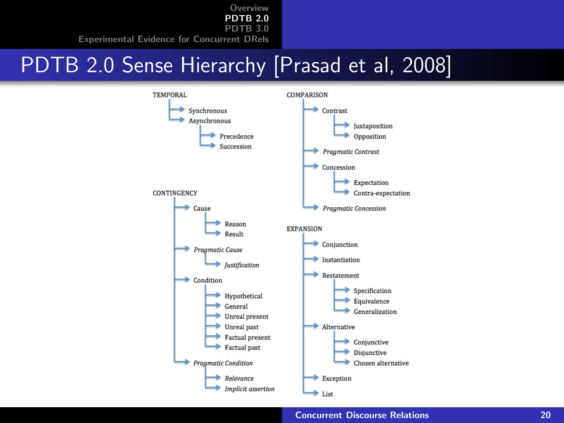### PDTB 2.0 Sense Hierarchy [Prasad et al, 2008]

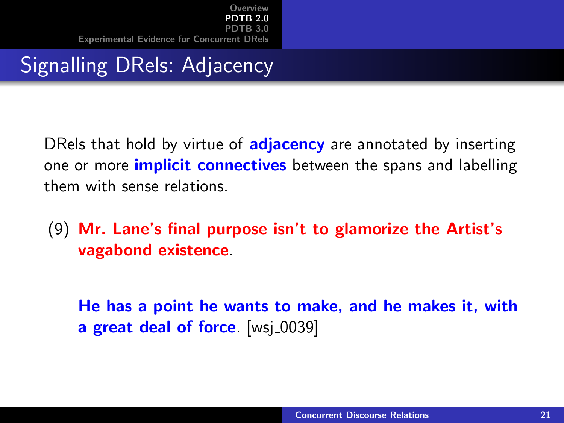# Signalling DRels: Adjacency

DRels that hold by virtue of **adjacency** are annotated by inserting one or more *implicit* connectives between the spans and labelling them with sense relations.

#### (9) Mr. Lane's final purpose isn't to glamorize the Artist's vagabond existence.

He has a point he wants to make, and he makes it, with a great deal of force. [wsj\_0039]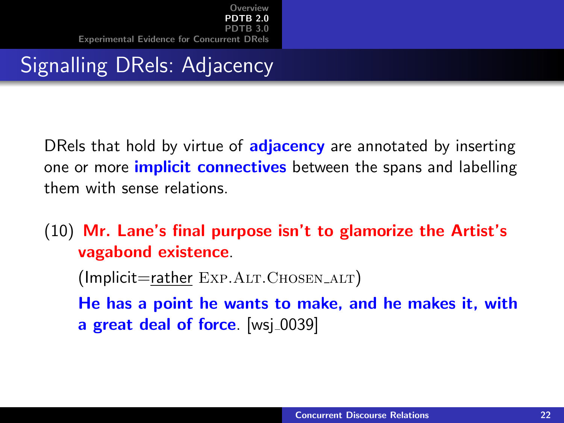# Signalling DRels: Adjacency

DRels that hold by virtue of **adjacency** are annotated by inserting one or more *implicit* connectives between the spans and labelling them with sense relations.

(10) Mr. Lane's final purpose isn't to glamorize the Artist's vagabond existence.

 $($ lmplicit=rather EXP.ALT.CHOSEN\_ALT $)$ 

He has a point he wants to make, and he makes it, with a great deal of force. [wsj\_0039]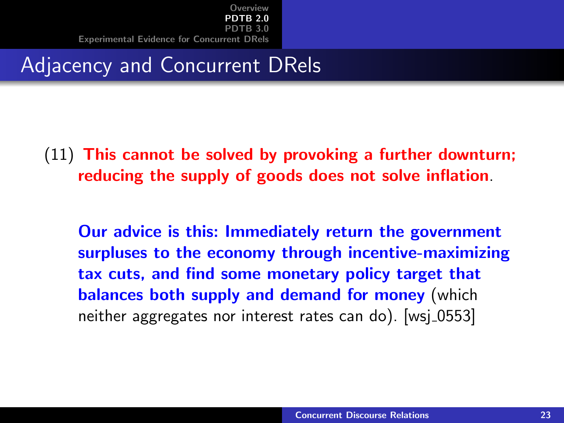#### Adjacency and Concurrent DRels

#### (11) This cannot be solved by provoking a further downturn; reducing the supply of goods does not solve inflation.

Our advice is this: Immediately return the government surpluses to the economy through incentive-maximizing tax cuts, and find some monetary policy target that balances both supply and demand for money (which neither aggregates nor interest rates can do). [wsj 0553]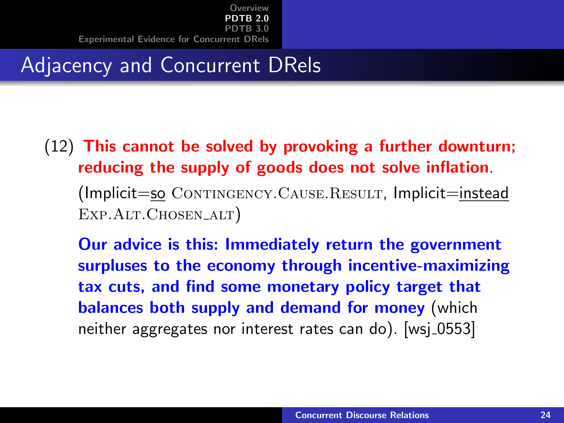# Adjacency and Concurrent DRels

(12) This cannot be solved by provoking a further downturn; reducing the supply of goods does not solve inflation.  $(Implicit = so$   $CONTINGENCY.CAUSE. RESULT, Implicit = instead$ EXP.ALT.CHOSEN\_ALT)

Our advice is this: Immediately return the government surpluses to the economy through incentive-maximizing tax cuts, and find some monetary policy target that balances both supply and demand for money (which neither aggregates nor interest rates can do). [wsj 0553]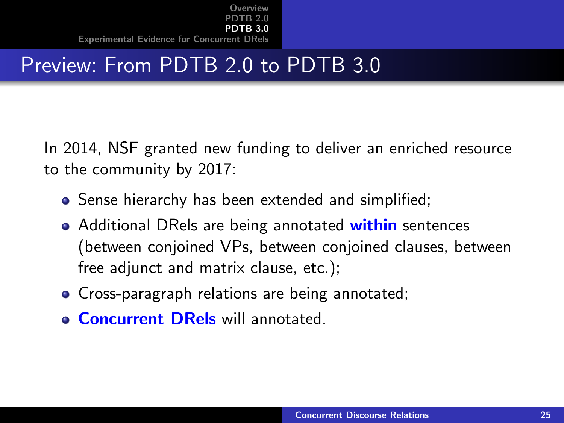# <span id="page-24-0"></span>Preview: From PDTB 2.0 to PDTB 3.0

In 2014, NSF granted new funding to deliver an enriched resource to the community by 2017:

- Sense hierarchy has been extended and simplified;
- Additional DRels are being annotated within sentences (between conjoined VPs, between conjoined clauses, between free adjunct and matrix clause, etc.);
- **Cross-paragraph relations are being annotated;**
- **Concurrent DRels** will annotated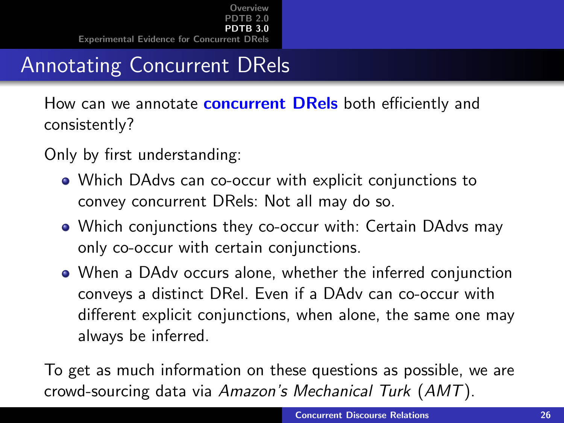# Annotating Concurrent DRels

How can we annotate **concurrent DRels** both efficiently and consistently?

Only by first understanding:

- Which DAdvs can co-occur with explicit conjunctions to convey concurrent DRels: Not all may do so.
- Which conjunctions they co-occur with: Certain DAdvs may only co-occur with certain conjunctions.
- When a DAdv occurs alone, whether the inferred conjunction conveys a distinct DRel. Even if a DAdv can co-occur with different explicit conjunctions, when alone, the same one may always be inferred.

To get as much information on these questions as possible, we are crowd-sourcing data via Amazon's Mechanical Turk (AMT).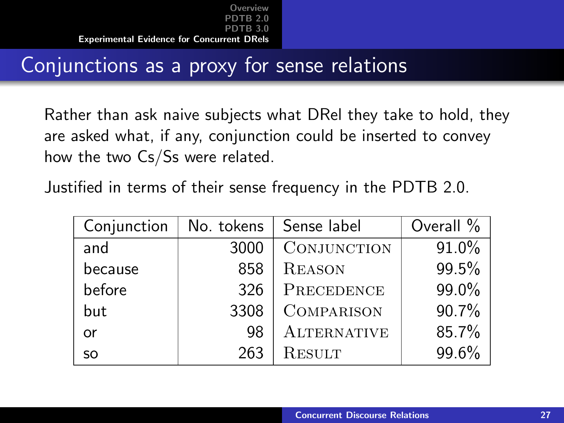# <span id="page-26-0"></span>Conjunctions as a proxy for sense relations

Rather than ask naive subjects what DRel they take to hold, they are asked what, if any, conjunction could be inserted to convey how the two Cs/Ss were related.

Justified in terms of their sense frequency in the PDTB 2.0.

| Conjunction | No. tokens | Sense label        | Overall % |
|-------------|------------|--------------------|-----------|
| and         | 3000       | CONJUNCTION        | 91.0%     |
| because     | 858        | <b>REASON</b>      | 99.5%     |
| before      | 326        | PRECEDENCE         | 99.0%     |
| but         | 3308       | <b>COMPARISON</b>  | 90.7%     |
| or          | 98         | <b>ALTERNATIVE</b> | 85.7%     |
| <b>SO</b>   | 263        | RESULT             | 99.6%     |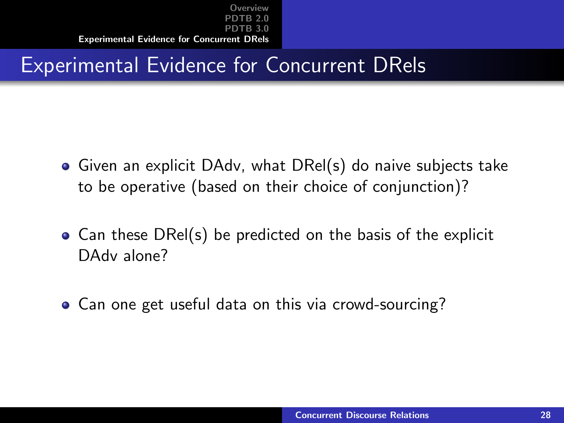# Experimental Evidence for Concurrent DRels

- Given an explicit DAdv, what DRel(s) do naive subjects take to be operative (based on their choice of conjunction)?
- Can these DRel(s) be predicted on the basis of the explicit DAdv alone?
- Can one get useful data on this via crowd-sourcing?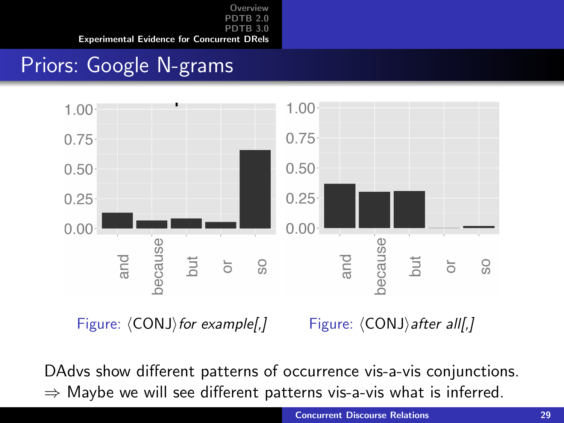# Priors: Google N-grams



Figure:  $\langle CONJ \rangle$  for example[,] Figure:  $\langle CONJ \rangle$  after all[,]

DAdvs show different patterns of occurrence vis-a-vis conjunctions.  $\Rightarrow$  Maybe we will see different patterns vis-a-vis what is inferred.

**[Concurrent Discourse Relations](#page-0-0)** 29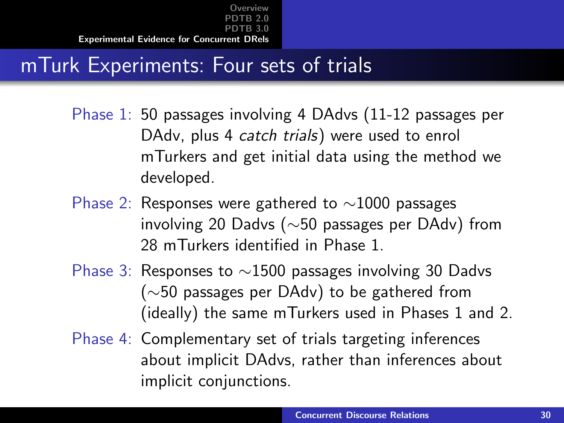# mTurk Experiments: Four sets of trials

- Phase 1: 50 passages involving 4 DAdvs (11-12 passages per DAdv, plus 4 catch trials) were used to enrol mTurkers and get initial data using the method we developed.
- Phase 2: Responses were gathered to ∼1000 passages involving 20 Dadvs (∼50 passages per DAdv) from 28 mTurkers identified in Phase 1.
- Phase 3: Responses to ∼1500 passages involving 30 Dadvs (∼50 passages per DAdv) to be gathered from (ideally) the same mTurkers used in Phases 1 and 2.
- Phase 4: Complementary set of trials targeting inferences about implicit DAdvs, rather than inferences about implicit conjunctions.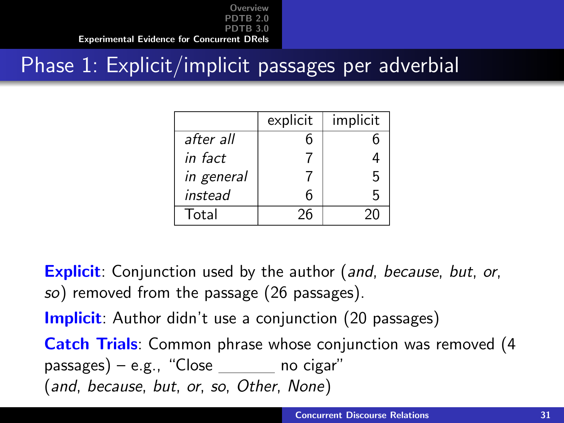### Phase 1: Explicit/implicit passages per adverbial

|            | explicit | implicit |
|------------|----------|----------|
| after all  | h        | h        |
| in fact    |          |          |
| in general |          | 5        |
| instead    | 6        | 5        |
| Total      | 26       | ንበ       |

**Explicit**: Conjunction used by the author (and, because, but, or, so) removed from the passage (26 passages).

**Implicit**: Author didn't use a conjunction (20 passages)

**Catch Trials:** Common phrase whose conjunction was removed (4)  $passages) - e.g., "Close \nightharpoonup no cigar"$ (and, because, but, or, so, Other, None)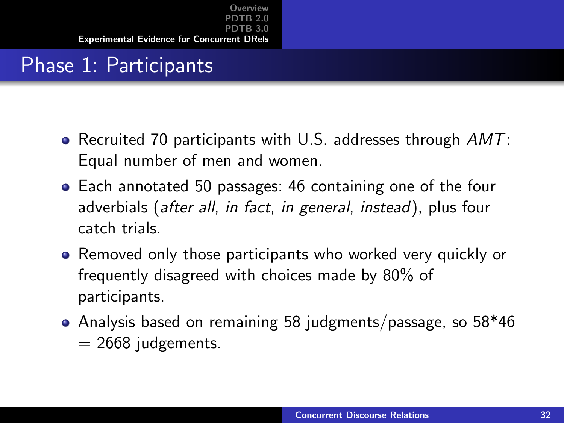# Phase 1: Participants

- Recruited 70 participants with U.S. addresses through  $AMT$ : Equal number of men and women.
- Each annotated 50 passages: 46 containing one of the four adverbials (after all, in fact, in general, instead), plus four catch trials.
- Removed only those participants who worked very quickly or frequently disagreed with choices made by 80% of participants.
- Analysis based on remaining 58 judgments/passage, so 58\*46  $= 2668$  judgements.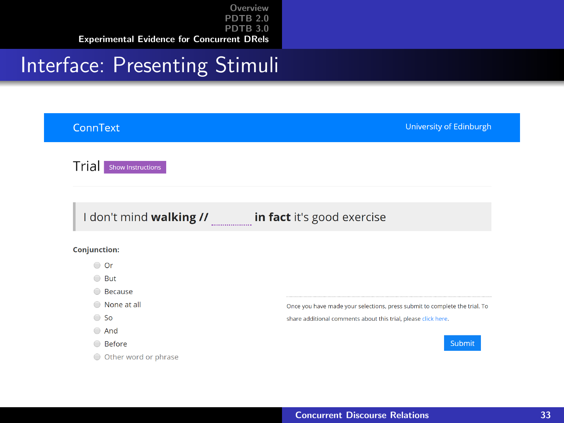#### Interface: Presenting Stimuli

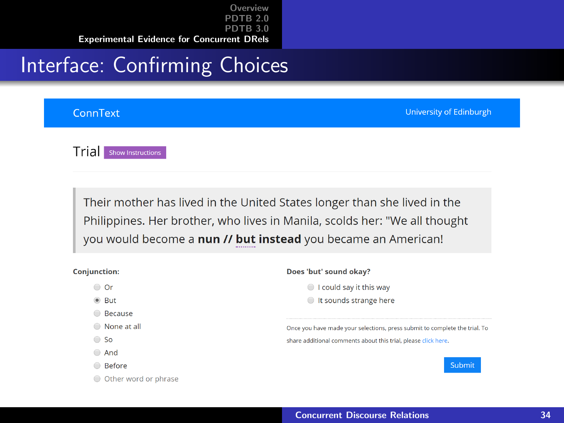[Overview](#page-2-0) [PDTB 2.0](#page-10-0) **R**<sub>3</sub>0 [Experimental Evidence for Concurrent DRels](#page-26-0)

### Interface: Confirming Choices

#### ConnText

University of Edinburgh

Trial show Instructions

Their mother has lived in the United States longer than she lived in the Philippines. Her brother, who lives in Manila, scolds her: "We all thought you would become a nun // but instead you became an American!

| <b>Conjunction:</b>  | Does 'but' sound okay?                                                     |
|----------------------|----------------------------------------------------------------------------|
| Or<br>⊜              | I could say it this way<br>$\bigcirc$                                      |
| $\bullet$ But        | t sounds strange here                                                      |
| <b>Because</b>       |                                                                            |
| None at all<br>⋒     | Once you have made your selections, press submit to complete the trial. To |
| <b>So</b><br>≘       | share additional comments about this trial, please click here.             |
| And<br>⋒             |                                                                            |
| <b>Before</b>        | <b>Submit</b>                                                              |
| Other word or phrase |                                                                            |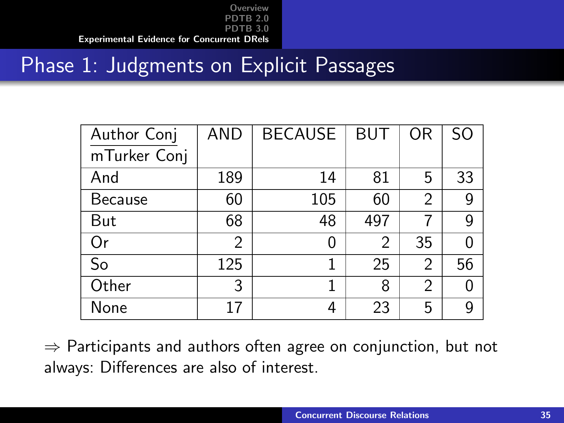#### Phase 1: Judgments on Explicit Passages

| Author Conj    | <b>AND</b> | <b>BECAUSE</b> | <b>BUT</b> | <b>OR</b>      | S <sub>O</sub> |
|----------------|------------|----------------|------------|----------------|----------------|
| mTurker Conj   |            |                |            |                |                |
| And            | 189        | 14             | 81         | 5              | 33             |
| <b>Because</b> | 60         | 105            | 60         | 2              | 9              |
| But            | 68         | 48             | 497        |                | 9              |
| 0r             | 2          | 0              | 2          | 35             | N              |
| So             | 125        | 1              | 25         | $\overline{2}$ | 56             |
| Other          | 3          | 1              | 8          | 2              |                |
| None           | 17         | 4              | 23         | 5              | 9              |

 $\Rightarrow$  Participants and authors often agree on conjunction, but not always: Differences are also of interest.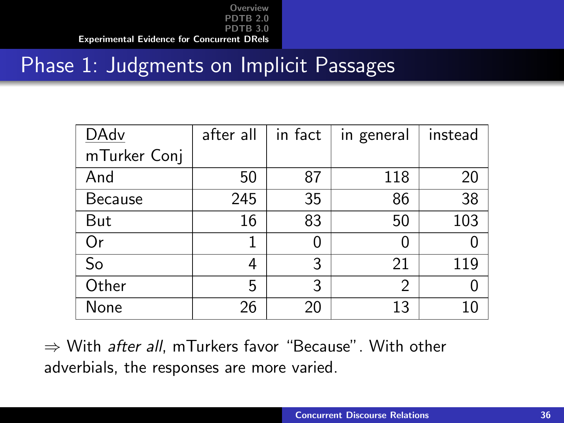### Phase 1: Judgments on Implicit Passages

| DAdv         | after all | in fact | in general | instead |
|--------------|-----------|---------|------------|---------|
| mTurker Conj |           |         |            |         |
| And          | 50        | 87      | 118        | 20      |
| Because      | 245       | 35      | 86         | 38      |
| But          | 16        | 83      | 50         | 103     |
| 0r           | 1         |         |            |         |
| So           | 4         | 3       | 21         | 119     |
| Other        | 5         | 3       | 2          |         |
| None         | 26        | 20      | 13         |         |

 $\Rightarrow$  With *after all*, mTurkers favor "Because". With other adverbials, the responses are more varied.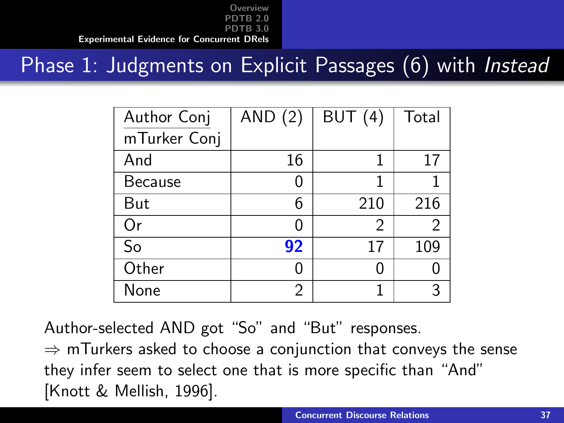#### Phase 1: Judgments on Explicit Passages (6) with *Instead*

| Author Conj    | AND $(2)$ | BUT(4)        | Total         |
|----------------|-----------|---------------|---------------|
| mTurker Conj   |           |               |               |
| And            | 16        |               | 17            |
| <b>Because</b> |           |               |               |
| But            | 6         | 210           | 216           |
| Or             |           | $\mathcal{P}$ | $\mathcal{P}$ |
| So             | 92        | 17            | 109           |
| Other          |           |               |               |
| None           | 2         |               |               |

Author-selected AND got "So" and "But" responses.

 $\Rightarrow$  mTurkers asked to choose a conjunction that conveys the sense they infer seem to select one that is more specific than "And" [Knott & Mellish, 1996].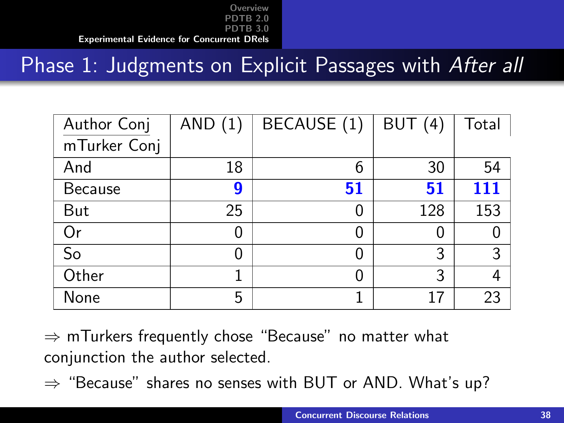# Phase 1: Judgments on Explicit Passages with After all

| Author Conj    | AND $(1)$ | BECAUSE (1) | BUT(4) | Total |
|----------------|-----------|-------------|--------|-------|
| mTurker Conj   |           |             |        |       |
| And            | 18        | 6           | 30     | 54    |
| <b>Because</b> | g         | 51          | 51     | 111   |
| But            | 25        | 0           | 128    | 153   |
| Or             | 0         | 0           |        |       |
| So             |           | 0           | 3      | 3     |
| Other          |           |             | 3      | 4     |
| None           | 5         |             | 17     | 23    |

 $\Rightarrow$  mTurkers frequently chose "Because" no matter what conjunction the author selected.

 $\Rightarrow$  "Because" shares no senses with BUT or AND. What's up?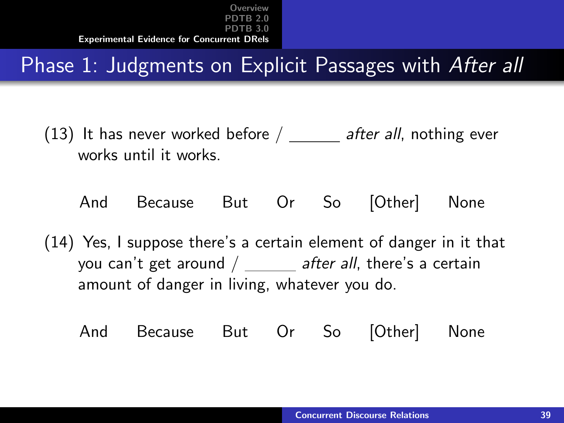# Phase 1: Judgments on Explicit Passages with After all

- (13) It has never worked before  $/$  \_\_\_\_ after all, nothing ever works until it works.
	- And Because But Or So [Other] None
- (14) Yes, I suppose there's a certain element of danger in it that you can't get around  $/$  after all, there's a certain amount of danger in living, whatever you do.
	- And Because But Or So [Other] None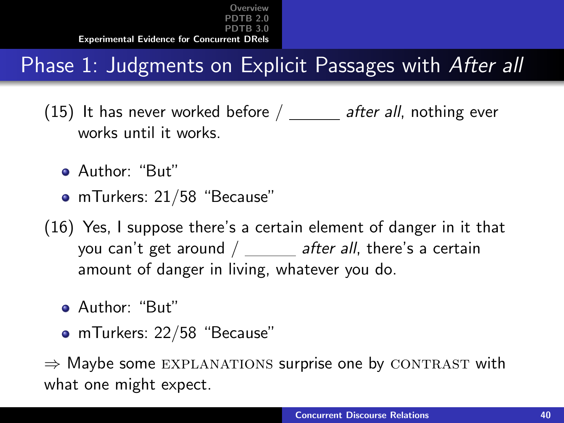# Phase 1: Judgments on Explicit Passages with After all

- (15) It has never worked before  $/$  \_\_\_\_ after all, nothing ever works until it works.
	- Author: "But"
	- mTurkers: 21/58 "Because"
- (16) Yes, I suppose there's a certain element of danger in it that you can't get around  $/$  \_\_\_\_\_ after all, there's a certain amount of danger in living, whatever you do.
	- Author: "But"
	- mTurkers: 22/58 "Because"

 $\Rightarrow$  Maybe some EXPLANATIONS surprise one by CONTRAST with what one might expect.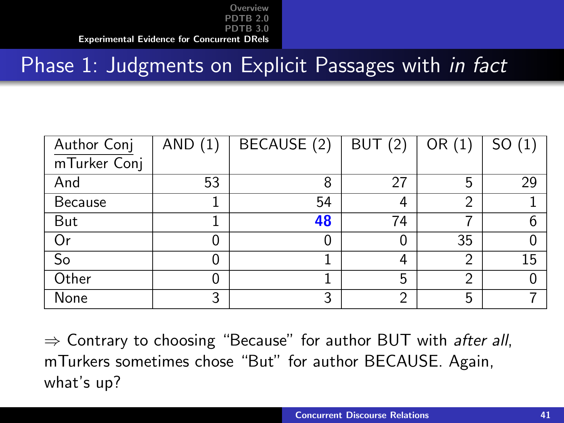# Phase 1: Judgments on Explicit Passages with *in fact*

| Author Conj              | AND(1) | BECAUSE (2) | <b>BUT</b> (2) | OR $(1)$ | SO(1) |
|--------------------------|--------|-------------|----------------|----------|-------|
| mTurker Conj             |        |             |                |          |       |
| And                      | 53     | 8           | 27             | 5        | 29    |
| Because                  |        | 54          | 4              | ⌒        |       |
| But                      |        | 48          | 74             |          | 6     |
| <b>Or</b>                | 0      | 0           |                | 35       |       |
| $\overline{\mathsf{So}}$ | O      |             | 4              | ⌒        | 15    |
| Other                    | O      |             | 5              | ⌒        |       |
| None                     | 3      | 3           | 2              | 5        |       |

 $\Rightarrow$  Contrary to choosing "Because" for author BUT with *after all*, mTurkers sometimes chose "But" for author BECAUSE. Again, what's up?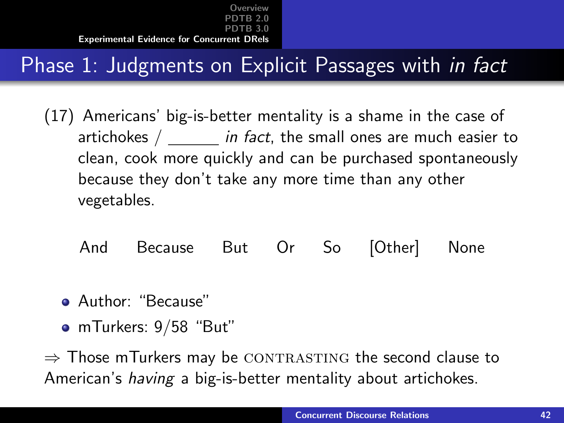# Phase 1: Judgments on Explicit Passages with in fact

- (17) Americans' big-is-better mentality is a shame in the case of artichokes  $\frac{1}{10}$  in fact, the small ones are much easier to clean, cook more quickly and can be purchased spontaneously because they don't take any more time than any other vegetables.
	- And Because But Or So [Other] None
	- Author: "Because"
	- mTurkers: 9/58 "But"

 $\Rightarrow$  Those mTurkers may be CONTRASTING the second clause to American's *having* a big-is-better mentality about artichokes.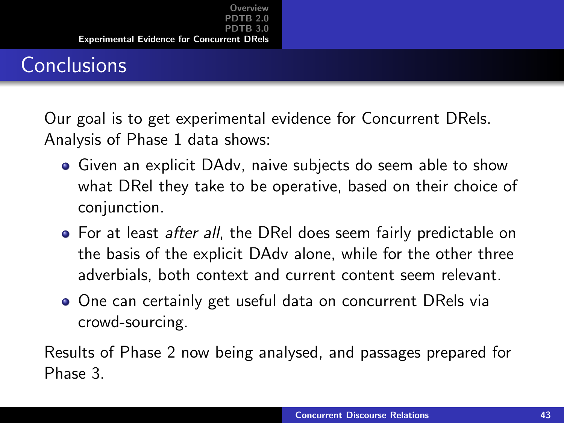# **Conclusions**

Our goal is to get experimental evidence for Concurrent DRels. Analysis of Phase 1 data shows:

- Given an explicit DAdv, naive subjects do seem able to show what DRel they take to be operative, based on their choice of conjunction.
- For at least *after all*, the DRel does seem fairly predictable on the basis of the explicit DAdv alone, while for the other three adverbials, both context and current content seem relevant.
- One can certainly get useful data on concurrent DRels via crowd-sourcing.

Results of Phase 2 now being analysed, and passages prepared for Phase 3.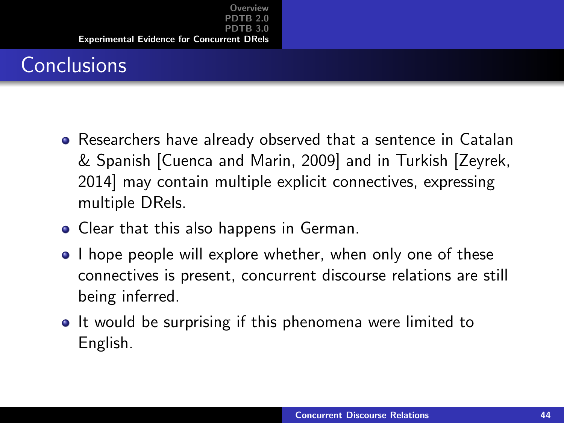# **Conclusions**

- Researchers have already observed that a sentence in Catalan & Spanish [Cuenca and Marin, 2009] and in Turkish [Zeyrek, 2014] may contain multiple explicit connectives, expressing multiple DRels.
- Clear that this also happens in German.
- I hope people will explore whether, when only one of these connectives is present, concurrent discourse relations are still being inferred.
- It would be surprising if this phenomena were limited to English.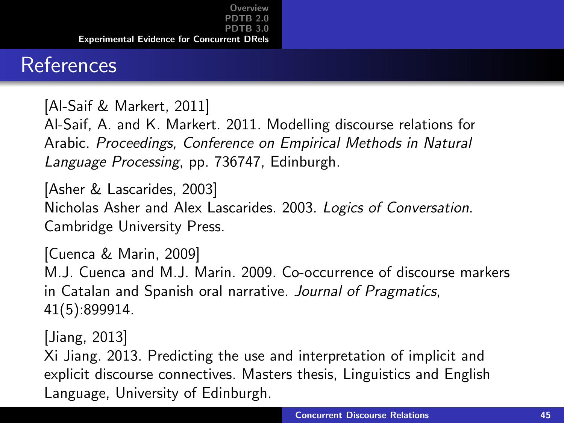#### References

[Al-Saif & Markert, 2011]

Al-Saif, A. and K. Markert. 2011. Modelling discourse relations for Arabic. Proceedings, Conference on Empirical Methods in Natural Language Processing, pp. 736747, Edinburgh.

[Asher & Lascarides, 2003] Nicholas Asher and Alex Lascarides. 2003. Logics of Conversation. Cambridge University Press.

[Cuenca & Marin, 2009] M.J. Cuenca and M.J. Marin. 2009. Co-occurrence of discourse markers in Catalan and Spanish oral narrative. Journal of Pragmatics, 41(5):899914.

[Jiang, 2013] Xi Jiang. 2013. Predicting the use and interpretation of implicit and explicit discourse connectives. Masters thesis, Linguistics and English Language, University of Edinburgh.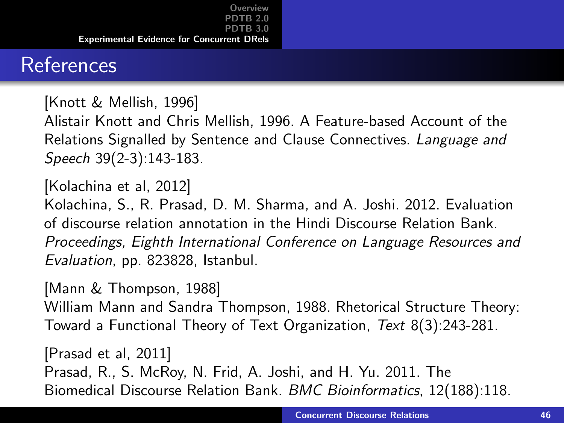### References

[Knott & Mellish, 1996] Alistair Knott and Chris Mellish, 1996. A Feature-based Account of the Relations Signalled by Sentence and Clause Connectives. Language and Speech 39(2-3):143-183.

[Kolachina et al, 2012] Kolachina, S., R. Prasad, D. M. Sharma, and A. Joshi. 2012. Evaluation of discourse relation annotation in the Hindi Discourse Relation Bank. Proceedings, Eighth International Conference on Language Resources and Evaluation, pp. 823828, Istanbul.

[Mann & Thompson, 1988]

William Mann and Sandra Thompson, 1988. Rhetorical Structure Theory: Toward a Functional Theory of Text Organization, Text 8(3):243-281.

[Prasad et al, 2011] Prasad, R., S. McRoy, N. Frid, A. Joshi, and H. Yu. 2011. The Biomedical Discourse Relation Bank. BMC Bioinformatics, 12(188):118.